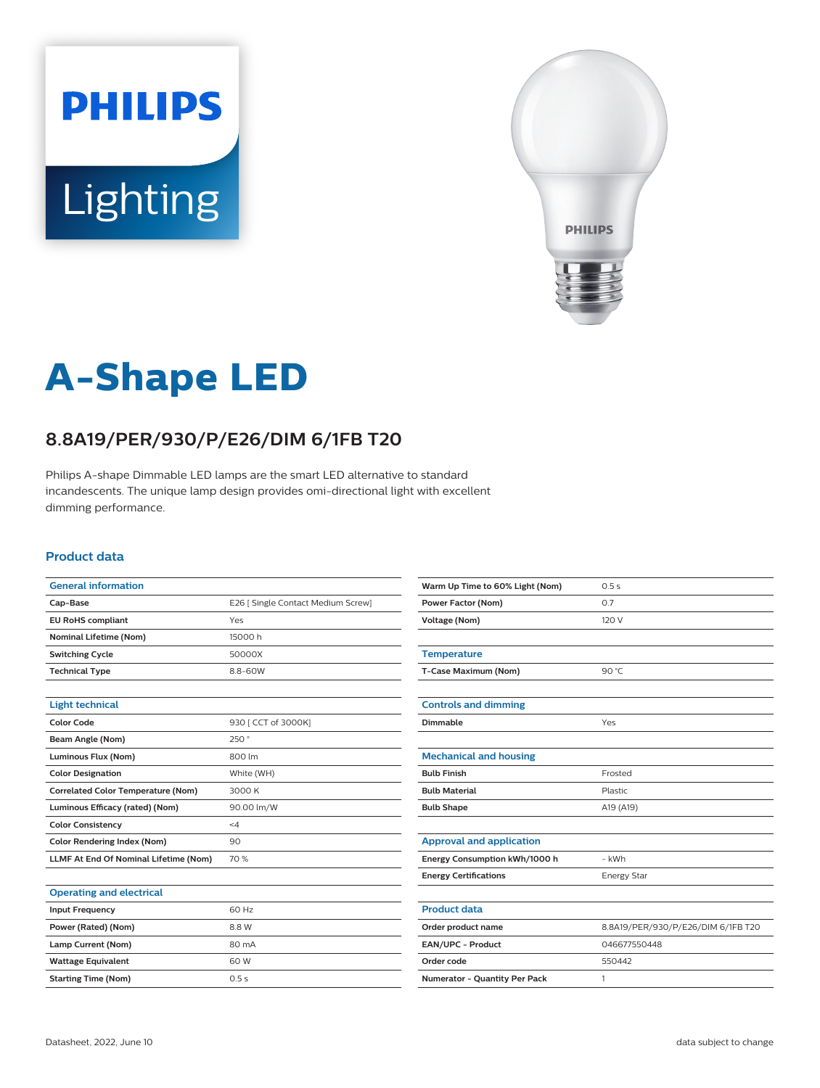



# **A-Shape LED**

## **8.8A19/PER/930/P/E26/DIM 6/1FB T20**

Philips A-shape Dimmable LED lamps are the smart LED alternative to standard incandescents. The unique lamp design provides omi-directional light with excellent dimming performance.

#### **Product data**

| <b>General information</b>                |                                    |
|-------------------------------------------|------------------------------------|
| Cap-Base                                  | E26 [ Single Contact Medium Screw] |
| <b>EU RoHS compliant</b>                  | Yes                                |
| <b>Nominal Lifetime (Nom)</b>             | 15000 h                            |
| <b>Switching Cycle</b>                    | 50000X                             |
| <b>Technical Type</b>                     | 8.8-60W                            |
|                                           |                                    |
| <b>Light technical</b>                    |                                    |
| <b>Color Code</b>                         | 930 [ CCT of 3000K]                |
| Beam Angle (Nom)                          | 250°                               |
| Luminous Flux (Nom)                       | 800 lm                             |
| <b>Color Designation</b>                  | White (WH)                         |
| <b>Correlated Color Temperature (Nom)</b> | 3000 K                             |
| Luminous Efficacy (rated) (Nom)           | 90.00 lm/W                         |
| <b>Color Consistency</b>                  | $\leq$ $\Delta$                    |
| Color Rendering Index (Nom)               | 90                                 |
| LLMF At End Of Nominal Lifetime (Nom)     | 70 %                               |

| <b>Operating and electrical</b> |       |
|---------------------------------|-------|
| <b>Input Frequency</b>          | 60 Hz |
| Power (Rated) (Nom)             | 8.8 W |
| Lamp Current (Nom)              | 80 mA |
| <b>Wattage Equivalent</b>       | 60 W  |
| <b>Starting Time (Nom)</b>      | 0.5s  |

| Warm Up Time to 60% Light (Nom)      | 0.5s                               |
|--------------------------------------|------------------------------------|
| <b>Power Factor (Nom)</b>            | 0.7                                |
| <b>Voltage (Nom)</b>                 | 120 V                              |
|                                      |                                    |
| <b>Temperature</b>                   |                                    |
| T-Case Maximum (Nom)                 | 90 °C                              |
|                                      |                                    |
| <b>Controls and dimming</b>          |                                    |
| Dimmable                             | Yes                                |
|                                      |                                    |
| <b>Mechanical and housing</b>        |                                    |
| <b>Bulb Finish</b>                   | Frosted                            |
| <b>Bulb Material</b>                 | Plastic                            |
| <b>Bulb Shape</b>                    | A19 (A19)                          |
|                                      |                                    |
| <b>Approval and application</b>      |                                    |
| Energy Consumption kWh/1000 h        | - kWh                              |
| <b>Energy Certifications</b>         | <b>Energy Star</b>                 |
|                                      |                                    |
| <b>Product data</b>                  |                                    |
| Order product name                   | 8.8A19/PER/930/P/E26/DIM 6/1FB T20 |
| EAN/UPC - Product                    | 046677550448                       |
| Order code                           | 550442                             |
| <b>Numerator - Quantity Per Pack</b> | 1                                  |
|                                      |                                    |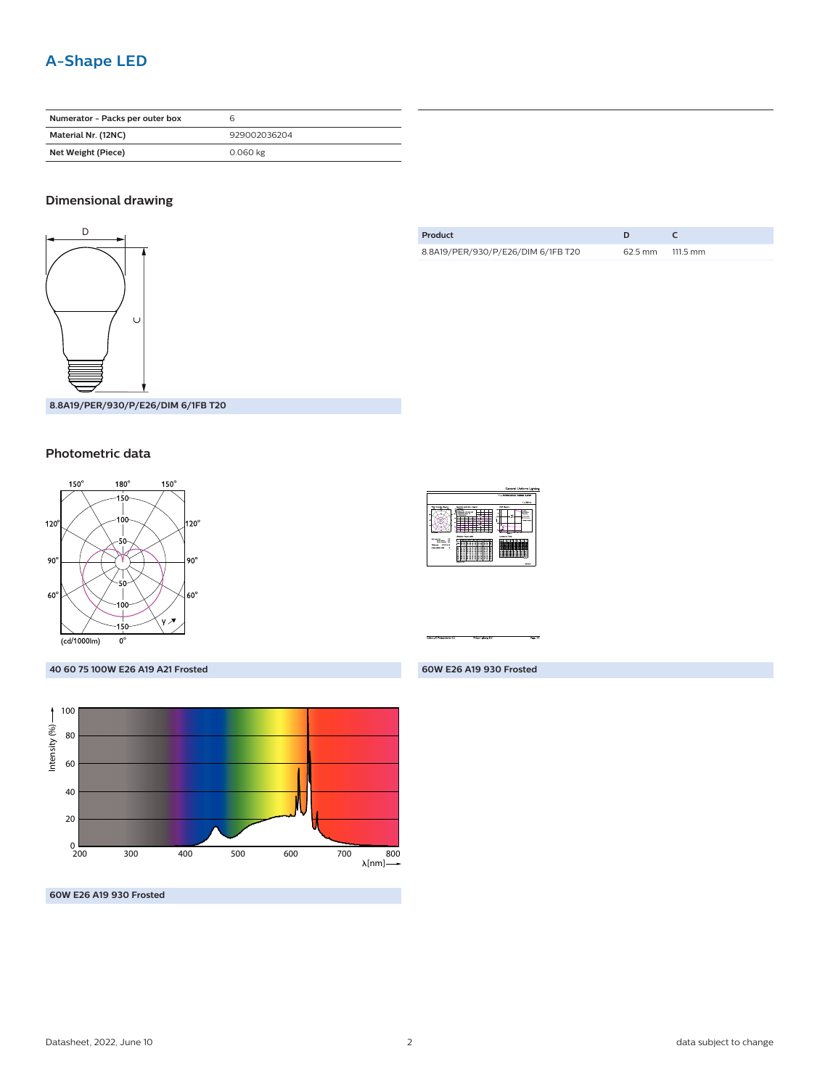## **A-Shape LED**

| Numerator - Packs per outer box |              |
|---------------------------------|--------------|
| Material Nr. (12NC)             | 929002036204 |
| Net Weight (Piece)              | 0.060 kg     |

#### **Dimensional drawing**



**Product D C** 8.8A19/PER/930/P/E26/DIM 6/1FB T20 62.5 mm 111.5 mm

**8.8A19/PER/930/P/E26/DIM 6/1FB T20**

#### **Photometric data**



81 H

**40 60 75 100W E26 A19 A21 Frosted**



**60W E26 A19 930 Frosted**

**60W E26 A19 930 Frosted**